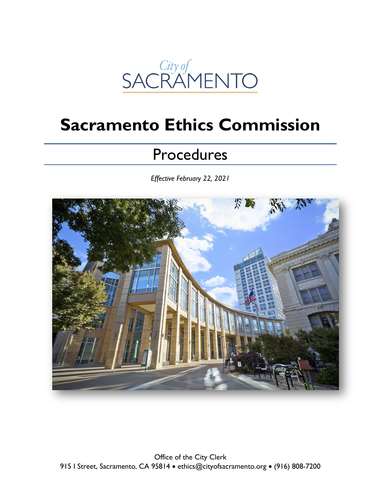

# **Sacramento Ethics Commission**

## **Procedures**

*Effective February 22, 2021*

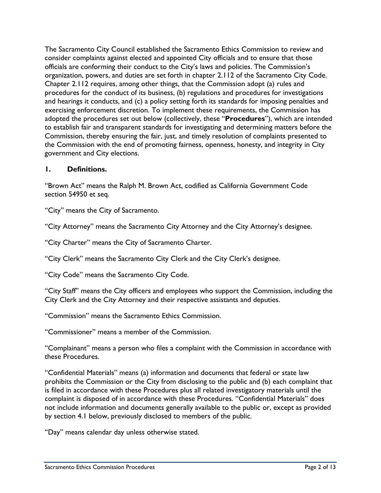The Sacramento City Council established the Sacramento Ethics Commission to review and consider complaints against elected and appointed City officials and to ensure that those officials are conforming their conduct to the City's laws and policies. The Commission's organization, powers, and duties are set forth in chapter 2.112 of the Sacramento City Code. Chapter 2.112 requires, among other things, that the Commission adopt (a) rules and procedures for the conduct of its business, (b) regulations and procedures for investigations and hearings it conducts, and (c) a policy setting forth its standards for imposing penalties and exercising enforcement discretion. To implement these requirements, the Commission has adopted the procedures set out below (collectively, these "**Procedures**"), which are intended to establish fair and transparent standards for investigating and determining matters before the Commission, thereby ensuring the fair, just, and timely resolution of complaints presented to the Commission with the end of promoting fairness, openness, honesty, and integrity in City government and City elections.

#### **1. Definitions.**

"Brown Act" means the Ralph M. Brown Act, codified as California Government Code section 54950 et seq.

"City" means the City of Sacramento.

"City Attorney" means the Sacramento City Attorney and the City Attorney's designee.

"City Charter" means the City of Sacramento Charter.

"City Clerk" means the Sacramento City Clerk and the City Clerk's designee.

"City Code" means the Sacramento City Code.

"City Staff" means the City officers and employees who support the Commission, including the City Clerk and the City Attorney and their respective assistants and deputies.

"Commission" means the Sacramento Ethics Commission.

"Commissioner" means a member of the Commission.

"Complainant" means a person who files a complaint with the Commission in accordance with these Procedures.

"Confidential Materials" means (a) information and documents that federal or state law prohibits the Commission or the City from disclosing to the public and (b) each complaint that is filed in accordance with these Procedures plus all related investigatory materials until the complaint is disposed of in accordance with these Procedures. "Confidential Materials" does not include information and documents generally available to the public or, except as provided by section 4.1 below, previously disclosed to members of the public.

"Day" means calendar day unless otherwise stated.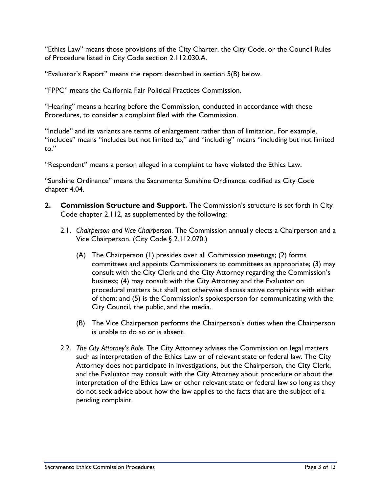"Ethics Law" means those provisions of the City Charter, the City Code, or the Council Rules of Procedure listed in City Code section 2.112.030.A.

"Evaluator's Report" means the report described in section 5(B) below.

"FPPC" means the California Fair Political Practices Commission.

"Hearing" means a hearing before the Commission, conducted in accordance with these Procedures, to consider a complaint filed with the Commission.

"Include" and its variants are terms of enlargement rather than of limitation. For example, "includes" means "includes but not limited to," and "including" means "including but not limited to."

"Respondent" means a person alleged in a complaint to have violated the Ethics Law.

"Sunshine Ordinance" means the Sacramento Sunshine Ordinance, codified as City Code chapter 4.04.

- **2. Commission Structure and Support.** The Commission's structure is set forth in City Code chapter 2.112, as supplemented by the following:
	- 2.1. *Chairperson and Vice Chairperson*. The Commission annually elects a Chairperson and a Vice Chairperson. (City Code § 2.112.070.)
		- (A) The Chairperson (1) presides over all Commission meetings; (2) forms committees and appoints Commissioners to committees as appropriate; (3) may consult with the City Clerk and the City Attorney regarding the Commission's business; (4) may consult with the City Attorney and the Evaluator on procedural matters but shall not otherwise discuss active complaints with either of them; and (5) is the Commission's spokesperson for communicating with the City Council, the public, and the media.
		- (B) The Vice Chairperson performs the Chairperson's duties when the Chairperson is unable to do so or is absent.
	- 2.2. *The City Attorney's Role*. The City Attorney advises the Commission on legal matters such as interpretation of the Ethics Law or of relevant state or federal law. The City Attorney does not participate in investigations, but the Chairperson, the City Clerk, and the Evaluator may consult with the City Attorney about procedure or about the interpretation of the Ethics Law or other relevant state or federal law so long as they do not seek advice about how the law applies to the facts that are the subject of a pending complaint.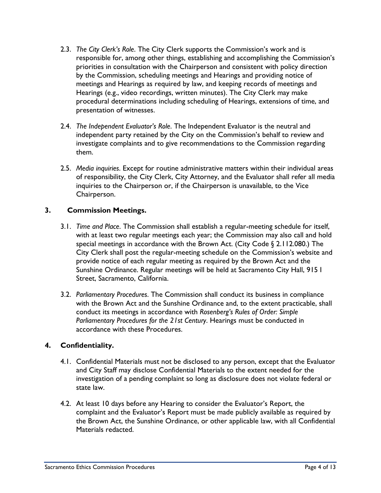- 2.3. *The City Clerk's Role*. The City Clerk supports the Commission's work and is responsible for, among other things, establishing and accomplishing the Commission's priorities in consultation with the Chairperson and consistent with policy direction by the Commission, scheduling meetings and Hearings and providing notice of meetings and Hearings as required by law, and keeping records of meetings and Hearings (e.g., video recordings, written minutes). The City Clerk may make procedural determinations including scheduling of Hearings, extensions of time, and presentation of witnesses.
- 2.4. *The Independent Evaluator's Role*. The Independent Evaluator is the neutral and independent party retained by the City on the Commission's behalf to review and investigate complaints and to give recommendations to the Commission regarding them.
- 2.5. *Media inquiries*. Except for routine administrative matters within their individual areas of responsibility, the City Clerk, City Attorney, and the Evaluator shall refer all media inquiries to the Chairperson or, if the Chairperson is unavailable, to the Vice Chairperson.

### **3. Commission Meetings.**

- 3.1. *Time and Place*. The Commission shall establish a regular-meeting schedule for itself, with at least two regular meetings each year; the Commission may also call and hold special meetings in accordance with the Brown Act. (City Code § 2.112.080.) The City Clerk shall post the regular-meeting schedule on the Commission's website and provide notice of each regular meeting as required by the Brown Act and the Sunshine Ordinance. Regular meetings will be held at Sacramento City Hall, 915 I Street, Sacramento, California.
- 3.2. *Parliamentary Procedures*. The Commission shall conduct its business in compliance with the Brown Act and the Sunshine Ordinance and, to the extent practicable, shall conduct its meetings in accordance with *Rosenberg's Rules of Order: Simple Parliamentary Procedures for the 21st Century*. Hearings must be conducted in accordance with these Procedures.

#### **4. Confidentiality.**

- 4.1. Confidential Materials must not be disclosed to any person, except that the Evaluator and City Staff may disclose Confidential Materials to the extent needed for the investigation of a pending complaint so long as disclosure does not violate federal or state law.
- 4.2. At least 10 days before any Hearing to consider the Evaluator's Report, the complaint and the Evaluator's Report must be made publicly available as required by the Brown Act, the Sunshine Ordinance, or other applicable law, with all Confidential Materials redacted.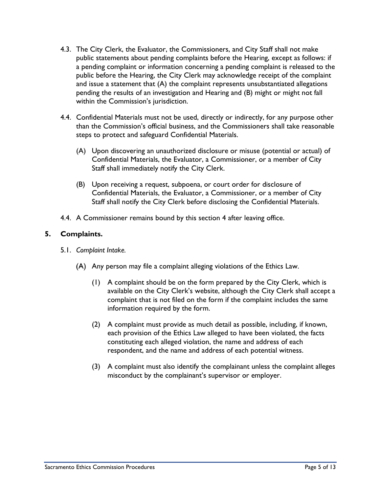- 4.3. The City Clerk, the Evaluator, the Commissioners, and City Staff shall not make public statements about pending complaints before the Hearing, except as follows: if a pending complaint or information concerning a pending complaint is released to the public before the Hearing, the City Clerk may acknowledge receipt of the complaint and issue a statement that (A) the complaint represents unsubstantiated allegations pending the results of an investigation and Hearing and (B) might or might not fall within the Commission's jurisdiction.
- 4.4. Confidential Materials must not be used, directly or indirectly, for any purpose other than the Commission's official business, and the Commissioners shall take reasonable steps to protect and safeguard Confidential Materials.
	- (A) Upon discovering an unauthorized disclosure or misuse (potential or actual) of Confidential Materials, the Evaluator, a Commissioner, or a member of City Staff shall immediately notify the City Clerk.
	- (B) Upon receiving a request, subpoena, or court order for disclosure of Confidential Materials, the Evaluator, a Commissioner, or a member of City Staff shall notify the City Clerk before disclosing the Confidential Materials.
- 4.4. A Commissioner remains bound by this section 4 after leaving office.

#### **5. Complaints.**

- 5.1. *Complaint Intake.*
	- Any person may file a complaint alleging violations of the Ethics Law.
		- (1) A complaint should be on the form prepared by the City Clerk, which is available on the City Clerk's website, although the City Clerk shall accept a complaint that is not filed on the form if the complaint includes the same information required by the form.
		- (2) A complaint must provide as much detail as possible, including, if known, each provision of the Ethics Law alleged to have been violated, the facts constituting each alleged violation, the name and address of each respondent, and the name and address of each potential witness.
		- (3) A complaint must also identify the complainant unless the complaint alleges misconduct by the complainant's supervisor or employer.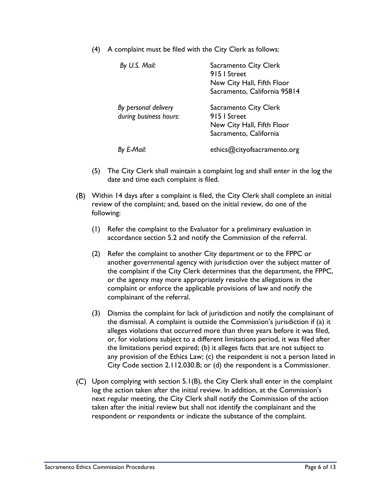(4) A complaint must be filed with the City Clerk as follows:

| By U.S. Mail:                                  | Sacramento City Clerk<br>915   Street<br>New City Hall, Fifth Floor<br>Sacramento, California 95814 |
|------------------------------------------------|-----------------------------------------------------------------------------------------------------|
| By personal delivery<br>during business hours: | Sacramento City Clerk<br>915   Street<br>New City Hall, Fifth Floor<br>Sacramento, California       |
| By E-Mail:                                     | ethics@cityofsacramento.org                                                                         |

- (5) The City Clerk shall maintain a complaint log and shall enter in the log the date and time each complaint is filed.
- Within 14 days after a complaint is filed, the City Clerk shall complete an initial review of the complaint; and, based on the initial review, do one of the following:
	- (1) Refer the complaint to the Evaluator for a preliminary evaluation in accordance section 5.2 and notify the Commission of the referral.
	- (2) Refer the complaint to another City department or to the FPPC or another governmental agency with jurisdiction over the subject matter of the complaint if the City Clerk determines that the department, the FPPC, or the agency may more appropriately resolve the allegations in the complaint or enforce the applicable provisions of law and notify the complainant of the referral.
	- (3) Dismiss the complaint for lack of jurisdiction and notify the complainant of the dismissal. A complaint is outside the Commission's jurisdiction if (a) it alleges violations that occurred more than three years before it was filed, or, for violations subject to a different limitations period, it was filed after the limitations period expired; (b) it alleges facts that are not subject to any provision of the Ethics Law; (c) the respondent is not a person listed in City Code section 2.112.030.B; or (d) the respondent is a Commissioner.
- $(C)$  Upon complying with section 5.1(B), the City Clerk shall enter in the complaint log the action taken after the initial review. In addition, at the Commission's next regular meeting, the City Clerk shall notify the Commission of the action taken after the initial review but shall not identify the complainant and the respondent or respondents or indicate the substance of the complaint.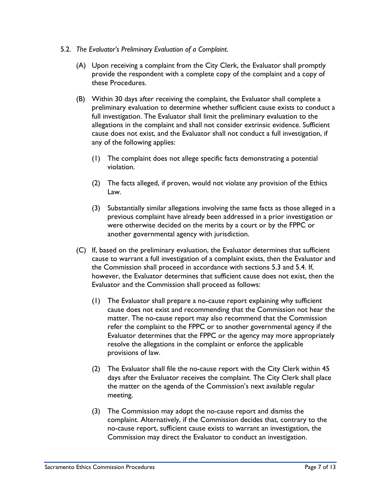#### 5.2. *The Evaluator's Preliminary Evaluation of a Complaint*.

- (A) Upon receiving a complaint from the City Clerk, the Evaluator shall promptly provide the respondent with a complete copy of the complaint and a copy of these Procedures.
- (B) Within 30 days after receiving the complaint, the Evaluator shall complete a preliminary evaluation to determine whether sufficient cause exists to conduct a full investigation. The Evaluator shall limit the preliminary evaluation to the allegations in the complaint and shall not consider extrinsic evidence. Sufficient cause does not exist, and the Evaluator shall not conduct a full investigation, if any of the following applies:
	- (1) The complaint does not allege specific facts demonstrating a potential violation.
	- (2) The facts alleged, if proven, would not violate any provision of the Ethics Law.
	- (3) Substantially similar allegations involving the same facts as those alleged in a previous complaint have already been addressed in a prior investigation or were otherwise decided on the merits by a court or by the FPPC or another governmental agency with jurisdiction.
- (C) If, based on the preliminary evaluation, the Evaluator determines that sufficient cause to warrant a full investigation of a complaint exists, then the Evaluator and the Commission shall proceed in accordance with sections 5.3 and 5.4. If, however, the Evaluator determines that sufficient cause does not exist, then the Evaluator and the Commission shall proceed as follows:
	- (1) The Evaluator shall prepare a no-cause report explaining why sufficient cause does not exist and recommending that the Commission not hear the matter. The no-cause report may also recommend that the Commission refer the complaint to the FPPC or to another governmental agency if the Evaluator determines that the FPPC or the agency may more appropriately resolve the allegations in the complaint or enforce the applicable provisions of law.
	- (2) The Evaluator shall file the no-cause report with the City Clerk within 45 days after the Evaluator receives the complaint. The City Clerk shall place the matter on the agenda of the Commission's next available regular meeting.
	- (3) The Commission may adopt the no-cause report and dismiss the complaint. Alternatively, if the Commission decides that, contrary to the no-cause report, sufficient cause exists to warrant an investigation, the Commission may direct the Evaluator to conduct an investigation.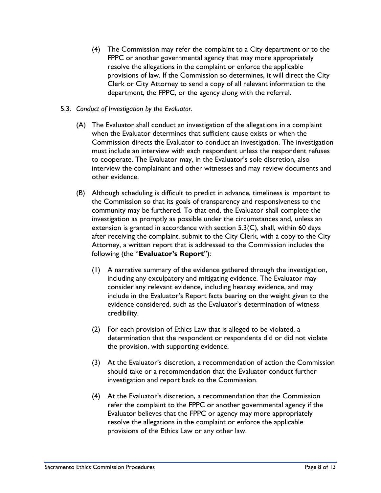- (4) The Commission may refer the complaint to a City department or to the FPPC or another governmental agency that may more appropriately resolve the allegations in the complaint or enforce the applicable provisions of law. If the Commission so determines, it will direct the City Clerk or City Attorney to send a copy of all relevant information to the department, the FPPC, or the agency along with the referral.
- 5.3. *Conduct of Investigation by the Evaluator*.
	- (A) The Evaluator shall conduct an investigation of the allegations in a complaint when the Evaluator determines that sufficient cause exists or when the Commission directs the Evaluator to conduct an investigation. The investigation must include an interview with each respondent unless the respondent refuses to cooperate. The Evaluator may, in the Evaluator's sole discretion, also interview the complainant and other witnesses and may review documents and other evidence.
	- (B) Although scheduling is difficult to predict in advance, timeliness is important to the Commission so that its goals of transparency and responsiveness to the community may be furthered. To that end, the Evaluator shall complete the investigation as promptly as possible under the circumstances and, unless an extension is granted in accordance with section 5.3(C), shall, within 60 days after receiving the complaint, submit to the City Clerk, with a copy to the City Attorney, a written report that is addressed to the Commission includes the following (the "**Evaluator's Report**"):
		- (1) A narrative summary of the evidence gathered through the investigation, including any exculpatory and mitigating evidence. The Evaluator may consider any relevant evidence, including hearsay evidence, and may include in the Evaluator's Report facts bearing on the weight given to the evidence considered, such as the Evaluator's determination of witness credibility.
		- (2) For each provision of Ethics Law that is alleged to be violated, a determination that the respondent or respondents did or did not violate the provision, with supporting evidence.
		- (3) At the Evaluator's discretion, a recommendation of action the Commission should take or a recommendation that the Evaluator conduct further investigation and report back to the Commission.
		- (4) At the Evaluator's discretion, a recommendation that the Commission refer the complaint to the FPPC or another governmental agency if the Evaluator believes that the FPPC or agency may more appropriately resolve the allegations in the complaint or enforce the applicable provisions of the Ethics Law or any other law.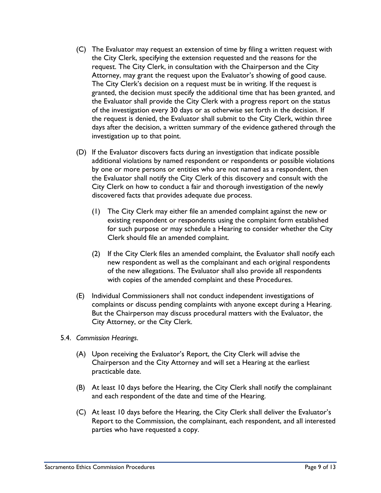- (C) The Evaluator may request an extension of time by filing a written request with the City Clerk, specifying the extension requested and the reasons for the request. The City Clerk, in consultation with the Chairperson and the City Attorney, may grant the request upon the Evaluator's showing of good cause. The City Clerk's decision on a request must be in writing. If the request is granted, the decision must specify the additional time that has been granted, and the Evaluator shall provide the City Clerk with a progress report on the status of the investigation every 30 days or as otherwise set forth in the decision. If the request is denied, the Evaluator shall submit to the City Clerk, within three days after the decision, a written summary of the evidence gathered through the investigation up to that point.
- (D) If the Evaluator discovers facts during an investigation that indicate possible additional violations by named respondent or respondents or possible violations by one or more persons or entities who are not named as a respondent, then the Evaluator shall notify the City Clerk of this discovery and consult with the City Clerk on how to conduct a fair and thorough investigation of the newly discovered facts that provides adequate due process.
	- (1) The City Clerk may either file an amended complaint against the new or existing respondent or respondents using the complaint form established for such purpose or may schedule a Hearing to consider whether the City Clerk should file an amended complaint.
	- (2) If the City Clerk files an amended complaint, the Evaluator shall notify each new respondent as well as the complainant and each original respondents of the new allegations. The Evaluator shall also provide all respondents with copies of the amended complaint and these Procedures.
- (E) Individual Commissioners shall not conduct independent investigations of complaints or discuss pending complaints with anyone except during a Hearing. But the Chairperson may discuss procedural matters with the Evaluator, the City Attorney, or the City Clerk.
- 5.4. *Commission Hearings*.
	- (A) Upon receiving the Evaluator's Report, the City Clerk will advise the Chairperson and the City Attorney and will set a Hearing at the earliest practicable date.
	- (B) At least 10 days before the Hearing, the City Clerk shall notify the complainant and each respondent of the date and time of the Hearing.
	- (C) At least 10 days before the Hearing, the City Clerk shall deliver the Evaluator's Report to the Commission, the complainant, each respondent, and all interested parties who have requested a copy.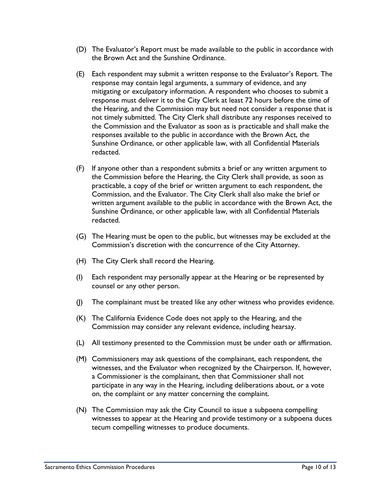- (D) The Evaluator's Report must be made available to the public in accordance with the Brown Act and the Sunshine Ordinance.
- (E) Each respondent may submit a written response to the Evaluator's Report. The response may contain legal arguments, a summary of evidence, and any mitigating or exculpatory information. A respondent who chooses to submit a response must deliver it to the City Clerk at least 72 hours before the time of the Hearing, and the Commission may but need not consider a response that is not timely submitted. The City Clerk shall distribute any responses received to the Commission and the Evaluator as soon as is practicable and shall make the responses available to the public in accordance with the Brown Act, the Sunshine Ordinance, or other applicable law, with all Confidential Materials redacted.
- (F) If anyone other than a respondent submits a brief or any written argument to the Commission before the Hearing, the City Clerk shall provide, as soon as practicable, a copy of the brief or written argument to each respondent, the Commission, and the Evaluator. The City Clerk shall also make the brief or written argument available to the public in accordance with the Brown Act, the Sunshine Ordinance, or other applicable law, with all Confidential Materials redacted.
- (G) The Hearing must be open to the public, but witnesses may be excluded at the Commission's discretion with the concurrence of the City Attorney.
- (H) The City Clerk shall record the Hearing.
- (I) Each respondent may personally appear at the Hearing or be represented by counsel or any other person.
- (J) The complainant must be treated like any other witness who provides evidence.
- (K) The California Evidence Code does not apply to the Hearing, and the Commission may consider any relevant evidence, including hearsay.
- (L) All testimony presented to the Commission must be under oath or affirmation.
- (M) Commissioners may ask questions of the complainant, each respondent, the witnesses, and the Evaluator when recognized by the Chairperson. If, however, a Commissioner is the complainant, then that Commissioner shall not participate in any way in the Hearing, including deliberations about, or a vote on, the complaint or any matter concerning the complaint.
- (N) The Commission may ask the City Council to issue a subpoena compelling witnesses to appear at the Hearing and provide testimony or a subpoena duces tecum compelling witnesses to produce documents.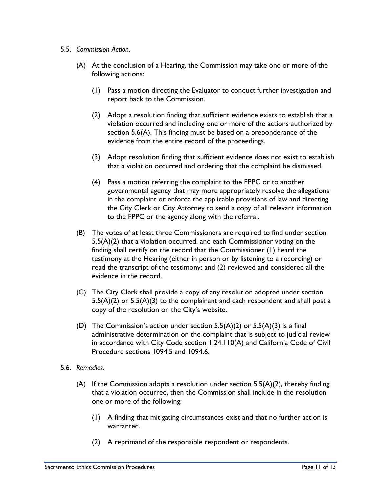- 5.5. *Commission Action*.
	- (A) At the conclusion of a Hearing, the Commission may take one or more of the following actions:
		- (1) Pass a motion directing the Evaluator to conduct further investigation and report back to the Commission.
		- (2) Adopt a resolution finding that sufficient evidence exists to establish that a violation occurred and including one or more of the actions authorized by section 5.6(A). This finding must be based on a preponderance of the evidence from the entire record of the proceedings.
		- (3) Adopt resolution finding that sufficient evidence does not exist to establish that a violation occurred and ordering that the complaint be dismissed.
		- (4) Pass a motion referring the complaint to the FPPC or to another governmental agency that may more appropriately resolve the allegations in the complaint or enforce the applicable provisions of law and directing the City Clerk or City Attorney to send a copy of all relevant information to the FPPC or the agency along with the referral.
	- (B) The votes of at least three Commissioners are required to find under section 5.5(A)(2) that a violation occurred, and each Commissioner voting on the finding shall certify on the record that the Commissioner (1) heard the testimony at the Hearing (either in person or by listening to a recording) or read the transcript of the testimony; and (2) reviewed and considered all the evidence in the record.
	- (C) The City Clerk shall provide a copy of any resolution adopted under section  $5.5(A)(2)$  or  $5.5(A)(3)$  to the complainant and each respondent and shall post a copy of the resolution on the City's website.
	- (D) The Commission's action under section  $5.5(A)(2)$  or  $5.5(A)(3)$  is a final administrative determination on the complaint that is subject to judicial review in accordance with City Code section 1.24.110(A) and California Code of Civil Procedure sections 1094.5 and 1094.6.
- 5.6. *Remedies*.
	- (A) If the Commission adopts a resolution under section  $5.5(A)(2)$ , thereby finding that a violation occurred, then the Commission shall include in the resolution one or more of the following:
		- (1) A finding that mitigating circumstances exist and that no further action is warranted.
		- (2) A reprimand of the responsible respondent or respondents.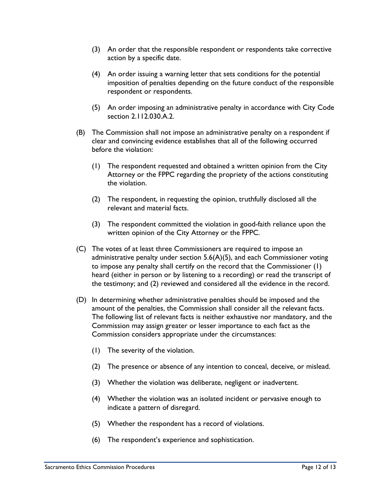- (3) An order that the responsible respondent or respondents take corrective action by a specific date.
- (4) An order issuing a warning letter that sets conditions for the potential imposition of penalties depending on the future conduct of the responsible respondent or respondents.
- (5) An order imposing an administrative penalty in accordance with City Code section 2.112.030.A.2.
- (B) The Commission shall not impose an administrative penalty on a respondent if clear and convincing evidence establishes that all of the following occurred before the violation:
	- (1) The respondent requested and obtained a written opinion from the City Attorney or the FPPC regarding the propriety of the actions constituting the violation.
	- (2) The respondent, in requesting the opinion, truthfully disclosed all the relevant and material facts.
	- (3) The respondent committed the violation in good-faith reliance upon the written opinion of the City Attorney or the FPPC.
- (C) The votes of at least three Commissioners are required to impose an administrative penalty under section  $5.6(A)(5)$ , and each Commissioner voting to impose any penalty shall certify on the record that the Commissioner (1) heard (either in person or by listening to a recording) or read the transcript of the testimony; and (2) reviewed and considered all the evidence in the record.
- (D) In determining whether administrative penalties should be imposed and the amount of the penalties, the Commission shall consider all the relevant facts. The following list of relevant facts is neither exhaustive nor mandatory, and the Commission may assign greater or lesser importance to each fact as the Commission considers appropriate under the circumstances:
	- (1) The severity of the violation.
	- (2) The presence or absence of any intention to conceal, deceive, or mislead.
	- (3) Whether the violation was deliberate, negligent or inadvertent.
	- (4) Whether the violation was an isolated incident or pervasive enough to indicate a pattern of disregard.
	- (5) Whether the respondent has a record of violations.
	- (6) The respondent's experience and sophistication.